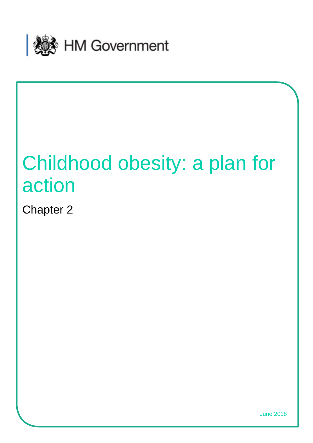

# Childhood obesity: a plan for action

Chapter 2

June 2018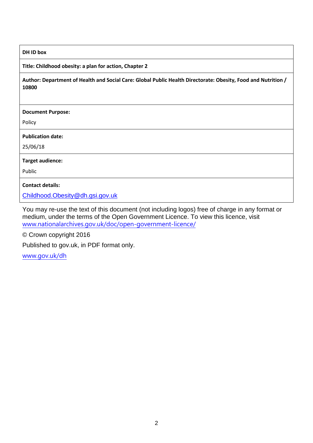### **DH ID box**

### **Title: Childhood obesity: a plan for action, Chapter 2**

**Author: Department of Health and Social Care: Global Public Health Directorate: Obesity, Food and Nutrition / 10800** 

#### **Document Purpose:**

Policy

#### **Publication date:**

25/06/18

### **Target audience:**

Public

**Contact details:** 

[Childhood.Obesity@dh.gsi.gov.uk](mailto:Childhood.Obesity@dh.gsi.gov.uk)

You may re-use the text of this document (not including logos) free of charge in any format or medium, under the terms of the Open Government Licence. To view this licence, visit [www.nationalarchives.gov.uk/doc/open-government-licence/](http://www.nationalarchives.gov.uk/doc/open-government-licence/)

© Crown copyright 2016

Published to gov.uk, in PDF format only.

[www.gov.uk/dh](http://www.gov.uk/dh)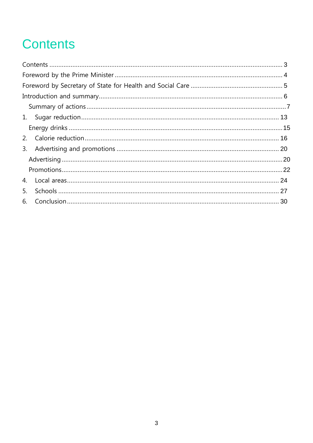## <span id="page-2-0"></span>**Contents**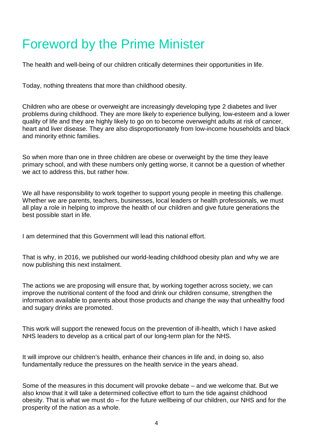### <span id="page-3-0"></span>Foreword by the Prime Minister

The health and well-being of our children critically determines their opportunities in life.

Today, nothing threatens that more than childhood obesity.

Children who are obese or overweight are increasingly developing type 2 diabetes and liver problems during childhood. They are more likely to experience bullying, low-esteem and a lower quality of life and they are highly likely to go on to become overweight adults at risk of cancer, heart and liver disease. They are also disproportionately from low-income households and black and minority ethnic families.

So when more than one in three children are obese or overweight by the time they leave primary school, and with these numbers only getting worse, it cannot be a question of whether we act to address this, but rather how.

We all have responsibility to work together to support young people in meeting this challenge. Whether we are parents, teachers, businesses, local leaders or health professionals, we must all play a role in helping to improve the health of our children and give future generations the best possible start in life.

I am determined that this Government will lead this national effort.

That is why, in 2016, we published our world-leading childhood obesity plan and why we are now publishing this next instalment.

The actions we are proposing will ensure that, by working together across society, we can improve the nutritional content of the food and drink our children consume, strengthen the information available to parents about those products and change the way that unhealthy food and sugary drinks are promoted.

This work will support the renewed focus on the prevention of ill-health, which I have asked NHS leaders to develop as a critical part of our long-term plan for the NHS.

It will improve our children's health, enhance their chances in life and, in doing so, also fundamentally reduce the pressures on the health service in the years ahead.

Some of the measures in this document will provoke debate – and we welcome that. But we also know that it will take a determined collective effort to turn the tide against childhood obesity. That is what we must do – for the future wellbeing of our children, our NHS and for the prosperity of the nation as a whole.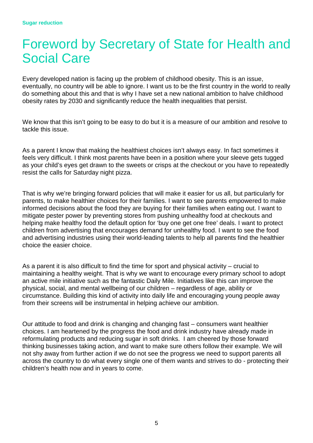### <span id="page-4-0"></span>Foreword by Secretary of State for Health and Social Care

Every developed nation is facing up the problem of childhood obesity. This is an issue, eventually, no country will be able to ignore. I want us to be the first country in the world to really do something about this and that is why I have set a new national ambition to halve childhood obesity rates by 2030 and significantly reduce the health inequalities that persist.

We know that this isn't going to be easy to do but it is a measure of our ambition and resolve to tackle this issue.

As a parent I know that making the healthiest choices isn't always easy. In fact sometimes it feels very difficult. I think most parents have been in a position where your sleeve gets tugged as your child's eyes get drawn to the sweets or crisps at the checkout or you have to repeatedly resist the calls for Saturday night pizza.

That is why we're bringing forward policies that will make it easier for us all, but particularly for parents, to make healthier choices for their families. I want to see parents empowered to make informed decisions about the food they are buying for their families when eating out. I want to mitigate pester power by preventing stores from pushing unhealthy food at checkouts and helping make healthy food the default option for 'buy one get one free' deals. I want to protect children from advertising that encourages demand for unhealthy food. I want to see the food and advertising industries using their world-leading talents to help all parents find the healthier choice the easier choice.

As a parent it is also difficult to find the time for sport and physical activity – crucial to maintaining a healthy weight. That is why we want to encourage every primary school to adopt an active mile initiative such as the fantastic Daily Mile. Initiatives like this can improve the physical, social, and mental wellbeing of our children – regardless of age, ability or circumstance. Building this kind of activity into daily life and encouraging young people away from their screens will be instrumental in helping achieve our ambition.

Our attitude to food and drink is changing and changing fast – consumers want healthier choices. I am heartened by the progress the food and drink industry have already made in reformulating products and reducing sugar in soft drinks. I am cheered by those forward thinking businesses taking action, and want to make sure others follow their example. We will not shy away from further action if we do not see the progress we need to support parents all across the country to do what every single one of them wants and strives to do - protecting their children's health now and in years to come.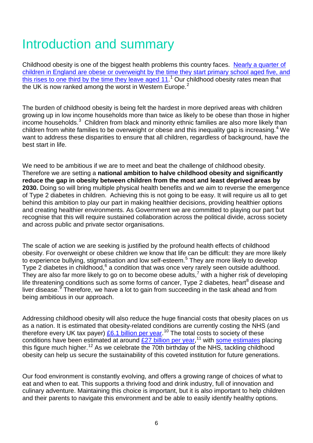## <span id="page-5-0"></span>Introduction and summary

Childhood obesity is one of the biggest health problems this country faces. [Nearly a quarter of](https://digital.nhs.uk/data-and-information/publications/statistical/national-child-measurement-programme/2016-17-school-year)  [children in England are obese or overweight by the time they start primary school aged five, and](https://digital.nhs.uk/data-and-information/publications/statistical/national-child-measurement-programme/2016-17-school-year) [this rises to one third by the time they leave aged 11.](https://digital.nhs.uk/data-and-information/publications/statistical/national-child-measurement-programme/2016-17-school-year)<sup>[1](#page-30-0)</sup> Our childhood obesity rates mean that the UK is now ranked among the worst in Western Europe.<sup>[2](#page-30-1)</sup>

The burden of childhood obesity is being felt the hardest in more deprived areas with children growing up in low income households more than twice as likely to be obese than those in higher income households. $3$  Children from black and minority ethnic families are also more likely than children from white families to be overweight or obese and this inequality gap is increasing.<sup>[4](#page-30-3)</sup> We want to address these disparities to ensure that all children, regardless of background, have the best start in life.

We need to be ambitious if we are to meet and beat the challenge of childhood obesity. Therefore we are setting a **national ambition to halve childhood obesity and significantly reduce the gap in obesity between children from the most and least deprived areas by 2030.** Doing so will bring multiple physical health benefits and we aim to reverse the emergence of Type 2 diabetes in children. Achieving this is not going to be easy. It will require us all to get behind this ambition to play our part in making healthier decisions, providing healthier options and creating healthier environments. As Government we are committed to playing our part but recognise that this will require sustained collaboration across the political divide, across society and across public and private sector organisations.

The scale of action we are seeking is justified by the profound health effects of childhood obesity. For overweight or obese children we know that life can be difficult: they are more likely to experience bullying, stigmatisation and low self-esteem.<sup>[5](#page-30-4)</sup> They are more likely to develop Type 2 diabetes in childhood, <sup>[6](#page-30-5)</sup> a condition that was once very rarely seen outside adulthood. They are also far more likely to go on to become obese adults,<sup>[7](#page-30-6)</sup> with a higher risk of developing life threatening conditions such as some forms of cancer, Type 2 diabetes, heart<sup>[8](#page-30-7)</sup> disease and liver disease.<sup>[9](#page-30-8)</sup> Therefore, we have a lot to gain from succeeding in the task ahead and from being ambitious in our approach.

Addressing childhood obesity will also reduce the huge financial costs that obesity places on us as a nation. It is estimated that obesity-related conditions are currently costing the NHS (and therefore every UK tax payer) <u>£6.1 billion per year</u>.<sup>[10](#page-30-9)</sup> The total costs to society of these conditions have been estimated at around **£27 billion per year,<sup>[11](#page-30-10)</sup> with [some estimates](https://www.mckinsey.com/~/media/McKinsey/Business%20Functions/Economic%20Studies%20TEMP/Our%20Insights/How%20the%20world%20could%20better%20fight%20obesity/MGI_Overcoming_obesity_Full_report.ashx)** placing this figure much higher.<sup>[12](#page-30-11)</sup> As we celebrate the 70th birthday of the NHS, tackling childhood obesity can help us secure the sustainability of this coveted institution for future generations.

Our food environment is constantly evolving, and offers a growing range of choices of what to eat and when to eat. This supports a thriving food and drink industry, full of innovation and culinary adventure. Maintaining this choice is important, but it is also important to help children and their parents to navigate this environment and be able to easily identify healthy options.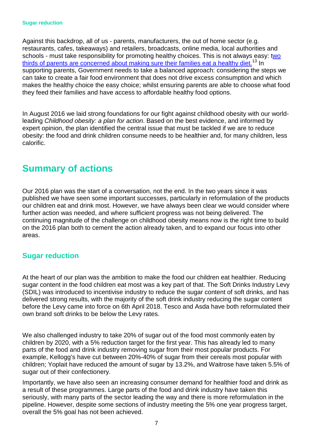Against this backdrop, all of us - parents, manufacturers, the out of home sector (e.g. restaurants, cafes, takeaways) and retailers, broadcasts, online media, local authorities and schools - must take responsibility for promoting healthy choices. This is not always easy: two [thirds of parents are concerned about making sure their families eat a healthy diet.](https://www.gov.uk/government/publications/calorie-reduction-the-scope-and-ambition-for-action)<sup>[13](#page-30-12)</sup> In supporting parents, Government needs to take a balanced approach: considering the steps we can take to create a fair food environment that does not drive excess consumption and which makes the healthy choice the easy choice; whilst ensuring parents are able to choose what food they feed their families and have access to affordable healthy food options.

In August 2016 we laid strong foundations for our fight against childhood obesity with our worldleading *Childhood obesity: a plan for action*. Based on the best evidence, and informed by expert opinion, the plan identified the central issue that must be tackled if we are to reduce obesity: the food and drink children consume needs to be healthier and, for many children, less calorific.

### <span id="page-6-0"></span>**Summary of actions**

Our 2016 plan was the start of a conversation, not the end. In the two years since it was published we have seen some important successes, particularly in reformulation of the products our children eat and drink most. However, we have always been clear we would consider where further action was needed, and where sufficient progress was not being delivered. The continuing magnitude of the challenge on childhood obesity means now is the right time to build on the 2016 plan both to cement the action already taken, and to expand our focus into other areas.

### **Sugar reduction**

At the heart of our plan was the ambition to make the food our children eat healthier. Reducing sugar content in the food children eat most was a key part of that. The Soft Drinks Industry Levy (SDIL) was introduced to incentivise industry to reduce the sugar content of soft drinks, and has delivered strong results, with the majority of the soft drink industry reducing the sugar content before the Levy came into force on 6th April 2018. Tesco and Asda have both reformulated their own brand soft drinks to be below the Levy rates.

We also challenged industry to take 20% of sugar out of the food most commonly eaten by children by 2020, with a 5% reduction target for the first year. This has already led to many parts of the food and drink industry removing sugar from their most popular products. For example, Kellogg's have cut between 20%-40% of sugar from their cereals most popular with children; Yoplait have reduced the amount of sugar by 13.2%, and Waitrose have taken 5.5% of sugar out of their confectionery.

Importantly, we have also seen an increasing consumer demand for healthier food and drink as a result of these programmes. Large parts of the food and drink industry have taken this seriously, with many parts of the sector leading the way and there is more reformulation in the pipeline. However, despite some sections of industry meeting the 5% one year progress target, overall the 5% goal has not been achieved.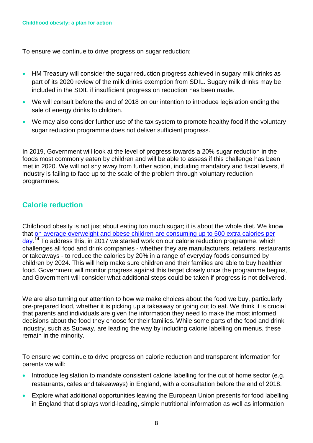To ensure we continue to drive progress on sugar reduction:

- HM Treasury will consider the sugar reduction progress achieved in sugary milk drinks as part of its 2020 review of the milk drinks exemption from SDIL. Sugary milk drinks may be included in the SDIL if insufficient progress on reduction has been made.
- We will consult before the end of 2018 on our intention to introduce legislation ending the sale of energy drinks to children.
- We may also consider further use of the tax system to promote healthy food if the voluntary sugar reduction programme does not deliver sufficient progress.

In 2019, Government will look at the level of progress towards a 20% sugar reduction in the foods most commonly eaten by children and will be able to assess if this challenge has been met in 2020. We will not shy away from further action, including mandatory and fiscal levers, if industry is failing to face up to the scale of the problem through voluntary reduction programmes.

### **Calorie reduction**

Childhood obesity is not just about eating too much sugar; it is about the whole diet. We know that [on average overweight and obese children are consuming up to 500 extra calories per](https://www.gov.uk/government/publications/calorie-reduction-the-scope-and-ambition-for-action)  [day.](https://www.gov.uk/government/publications/calorie-reduction-the-scope-and-ambition-for-action)<sup>[14](#page-30-13)</sup> To address this, in 2017 we started work on our calorie reduction programme, which challenges all food and drink companies - whether they are manufacturers, retailers, restaurants or takeaways - to reduce the calories by 20% in a range of everyday foods consumed by children by 2024. This will help make sure children and their families are able to buy healthier food. Government will monitor progress against this target closely once the programme begins, and Government will consider what additional steps could be taken if progress is not delivered.

We are also turning our attention to how we make choices about the food we buy, particularly pre-prepared food, whether it is picking up a takeaway or going out to eat. We think it is crucial that parents and individuals are given the information they need to make the most informed decisions about the food they choose for their families. While some parts of the food and drink industry, such as Subway, are leading the way by including calorie labelling on menus, these remain in the minority.

To ensure we continue to drive progress on calorie reduction and transparent information for parents we will:

- Introduce legislation to mandate consistent calorie labelling for the out of home sector (e.g. restaurants, cafes and takeaways) in England, with a consultation before the end of 2018.
- Explore what additional opportunities leaving the European Union presents for food labelling in England that displays world-leading, simple nutritional information as well as information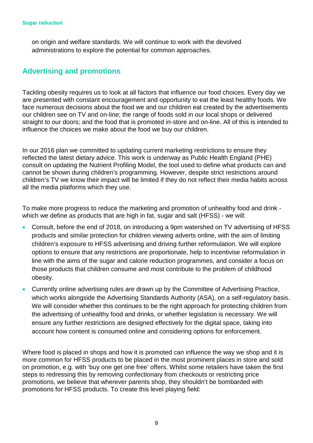on origin and welfare standards. We will continue to work with the devolved administrations to explore the potential for common approaches.

### **Advertising and promotions**

Tackling obesity requires us to look at all factors that influence our food choices. Every day we are presented with constant encouragement and opportunity to eat the least healthy foods. We face numerous decisions about the food we and our children eat created by the advertisements our children see on TV and on-line; the range of foods sold in our local shops or delivered straight to our doors; and the food that is promoted in-store and on-line. All of this is intended to influence the choices we make about the food we buy our children.

In our 2016 plan we committed to updating current marketing restrictions to ensure they reflected the latest dietary advice. This work is underway as Public Health England (PHE) consult on updating the Nutrient Profiling Model, the tool used to define what products can and cannot be shown during children's programming. However, despite strict restrictions around children's TV we know their impact will be limited if they do not reflect their media habits across all the media platforms which they use.

To make more progress to reduce the marketing and promotion of unhealthy food and drink which we define as products that are high in fat, sugar and salt (HFSS) - we will:

- Consult, before the end of 2018, on introducing a 9pm watershed on TV advertising of HFSS products and similar protection for children viewing adverts online, with the aim of limiting children's exposure to HFSS advertising and driving further reformulation. We will explore options to ensure that any restrictions are proportionate, help to incentivise reformulation in line with the aims of the sugar and calorie reduction programmes, and consider a focus on those products that children consume and most contribute to the problem of childhood obesity.
- Currently online advertising rules are drawn up by the Committee of Advertising Practice, which works alongside the Advertising Standards Authority (ASA), on a self-regulatory basis. We will consider whether this continues to be the right approach for protecting children from the advertising of unhealthy food and drinks, or whether legislation is necessary. We will ensure any further restrictions are designed effectively for the digital space, taking into account how content is consumed online and considering options for enforcement.

Where food is placed in shops and how it is promoted can influence the way we shop and it is more common for HFSS products to be placed in the most prominent places in store and sold on promotion, e.g. with 'buy one get one free' offers. Whilst some retailers have taken the first steps to redressing this by removing confectionary from checkouts or restricting price promotions, we believe that wherever parents shop, they shouldn't be bombarded with promotions for HFSS products. To create this level playing field: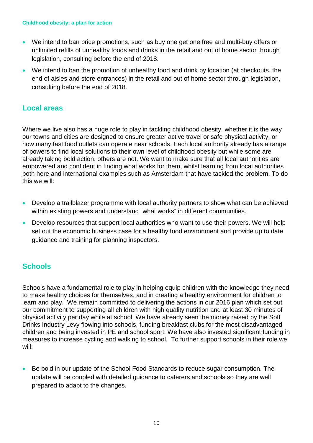#### **Childhood obesity: a plan for action**

- We intend to ban price promotions, such as buy one get one free and multi-buy offers or unlimited refills of unhealthy foods and drinks in the retail and out of home sector through legislation, consulting before the end of 2018.
- We intend to ban the promotion of unhealthy food and drink by location (at checkouts, the end of aisles and store entrances) in the retail and out of home sector through legislation, consulting before the end of 2018.

### **Local areas**

Where we live also has a huge role to play in tackling childhood obesity, whether it is the way our towns and cities are designed to ensure greater active travel or safe physical activity, or how many fast food outlets can operate near schools. Each local authority already has a range of powers to find local solutions to their own level of childhood obesity but while some are already taking bold action, others are not. We want to make sure that all local authorities are empowered and confident in finding what works for them, whilst learning from local authorities both here and international examples such as Amsterdam that have tackled the problem. To do this we will:

- Develop a trailblazer programme with local authority partners to show what can be achieved within existing powers and understand "what works" in different communities.
- Develop resources that support local authorities who want to use their powers. We will help set out the economic business case for a healthy food environment and provide up to date guidance and training for planning inspectors.

### **Schools**

Schools have a fundamental role to play in helping equip children with the knowledge they need to make healthy choices for themselves, and in creating a healthy environment for children to learn and play. We remain committed to delivering the actions in our 2016 plan which set out our commitment to supporting all children with high quality nutrition and at least 30 minutes of physical activity per day while at school. We have already seen the money raised by the Soft Drinks Industry Levy flowing into schools, funding breakfast clubs for the most disadvantaged children and being invested in PE and school sport. We have also invested significant funding in measures to increase cycling and walking to school. To further support schools in their role we will:

• Be bold in our update of the School Food Standards to reduce sugar consumption. The update will be coupled with detailed guidance to caterers and schools so they are well prepared to adapt to the changes.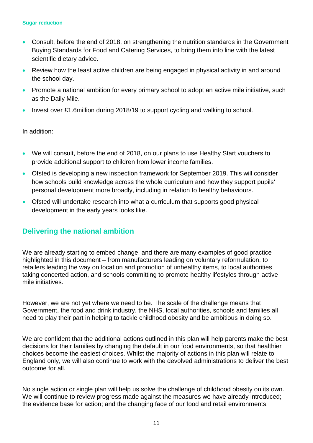#### **Sugar reduction**

- Consult, before the end of 2018, on strengthening the nutrition standards in the Government Buying Standards for Food and Catering Services, to bring them into line with the latest scientific dietary advice.
- Review how the least active children are being engaged in physical activity in and around the school day.
- Promote a national ambition for every primary school to adopt an active mile initiative, such as the Daily Mile.
- Invest over £1.6million during 2018/19 to support cycling and walking to school.

In addition:

- We will consult, before the end of 2018, on our plans to use Healthy Start vouchers to provide additional support to children from lower income families.
- Ofsted is developing a new inspection framework for September 2019. This will consider how schools build knowledge across the whole curriculum and how they support pupils' personal development more broadly, including in relation to healthy behaviours.
- Ofsted will undertake research into what a curriculum that supports good physical development in the early years looks like.

### **Delivering the national ambition**

We are already starting to embed change, and there are many examples of good practice highlighted in this document – from manufacturers leading on voluntary reformulation, to retailers leading the way on location and promotion of unhealthy items, to local authorities taking concerted action, and schools committing to promote healthy lifestyles through active mile initiatives.

However, we are not yet where we need to be. The scale of the challenge means that Government, the food and drink industry, the NHS, local authorities, schools and families all need to play their part in helping to tackle childhood obesity and be ambitious in doing so.

We are confident that the additional actions outlined in this plan will help parents make the best decisions for their families by changing the default in our food environments, so that healthier choices become the easiest choices. Whilst the majority of actions in this plan will relate to England only, we will also continue to work with the devolved administrations to deliver the best outcome for all.

No single action or single plan will help us solve the challenge of childhood obesity on its own. We will continue to review progress made against the measures we have already introduced; the evidence base for action; and the changing face of our food and retail environments.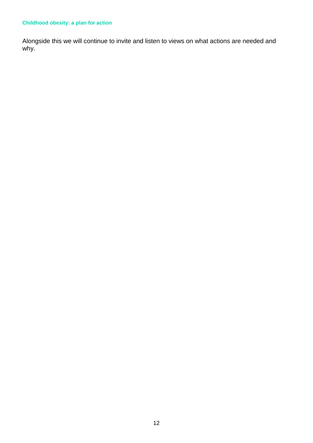### **Childhood obesity: a plan for action**

Alongside this we will continue to invite and listen to views on what actions are needed and why.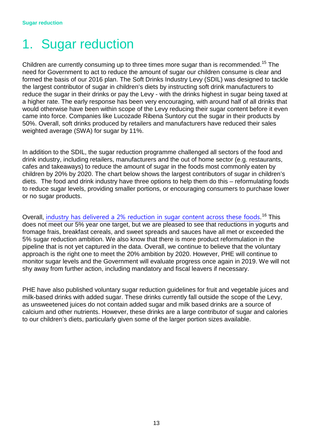## <span id="page-12-0"></span>1. Sugar reduction

Children are currently consuming up to three times more sugar than is recommended.<sup>[15](#page-30-14)</sup> The need for Government to act to reduce the amount of sugar our children consume is clear and formed the basis of our 2016 plan. The Soft Drinks Industry Levy (SDIL) was designed to tackle the largest contributor of sugar in children's diets by instructing soft drink manufacturers to reduce the sugar in their drinks or pay the Levy - with the drinks highest in sugar being taxed at a higher rate. The early response has been very encouraging, with around half of all drinks that would otherwise have been within scope of the Levy reducing their sugar content before it even came into force. Companies like Lucozade Ribena Suntory cut the sugar in their products by 50%. Overall, soft drinks produced by retailers and manufacturers have reduced their sales weighted average (SWA) for sugar by 11%.

In addition to the SDIL, the sugar reduction programme challenged all sectors of the food and drink industry, including retailers, manufacturers and the out of home sector (e.g. restaurants, cafes and takeaways) to reduce the amount of sugar in the foods most commonly eaten by children by 20% by 2020. The chart below shows the largest contributors of sugar in children's diets. The food and drink industry have three options to help them do this – reformulating foods to reduce sugar levels, providing smaller portions, or encouraging consumers to purchase lower or no sugar products.

Overall, [industry has delivered a 2% reduction in sugar content across these foods](https://www.gov.uk/government/publications/sugar-reduction-report-on-first-year-progress).<sup>[16](#page-30-15)</sup> This does not meet our 5% year one target, but we are pleased to see that reductions in yogurts and fromage frais, breakfast cereals, and sweet spreads and sauces have all met or exceeded the 5% sugar reduction ambition. We also know that there is more product reformulation in the pipeline that is not yet captured in the data. Overall, we continue to believe that the voluntary approach is the right one to meet the 20% ambition by 2020. However, PHE will continue to monitor sugar levels and the Government will evaluate progress once again in 2019. We will not shy away from further action, including mandatory and fiscal leavers if necessary.

PHE have also published voluntary sugar reduction guidelines for fruit and vegetable juices and milk-based drinks with added sugar. These drinks currently fall outside the scope of the Levy, as unsweetened juices do not contain added sugar and milk based drinks are a source of calcium and other nutrients. However, these drinks are a large contributor of sugar and calories to our children's diets, particularly given some of the larger portion sizes available.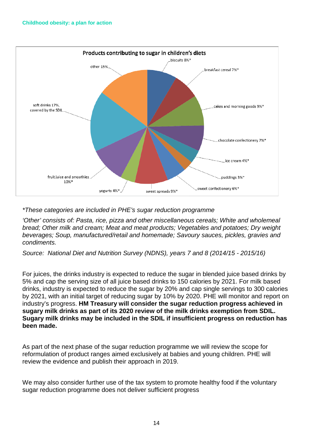

*\*These categories are included in PHE's sugar reduction programme*

*'Other' consists of: Pasta, rice, pizza and other miscellaneous cereals; White and wholemeal bread; Other milk and cream; Meat and meat products; Vegetables and potatoes; Dry weight beverages; Soup, manufactured/retail and homemade; Savoury sauces, pickles, gravies and condiments.* 

*Source: National Diet and Nutrition Survey (NDNS), years 7 and 8 (2014/15 - 2015/16)* 

For juices, the drinks industry is expected to reduce the sugar in blended juice based drinks by 5% and cap the serving size of all juice based drinks to 150 calories by 2021. For milk based drinks, industry is expected to reduce the sugar by 20% and cap single servings to 300 calories by 2021, with an initial target of reducing sugar by 10% by 2020. PHE will monitor and report on industry's progress. **HM Treasury will consider the sugar reduction progress achieved in sugary milk drinks as part of its 2020 review of the milk drinks exemption from SDIL. Sugary milk drinks may be included in the SDIL if insufficient progress on reduction has been made.**

As part of the next phase of the sugar reduction programme we will review the scope for reformulation of product ranges aimed exclusively at babies and young children. PHE will review the evidence and publish their approach in 2019.

We may also consider further use of the tax system to promote healthy food if the voluntary sugar reduction programme does not deliver sufficient progress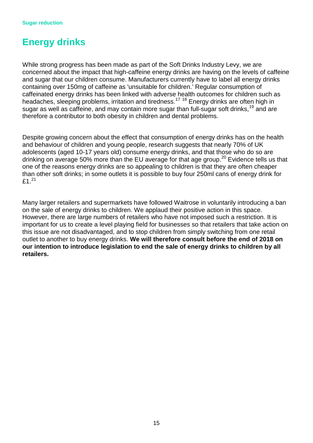### <span id="page-14-0"></span>**Energy drinks**

While strong progress has been made as part of the Soft Drinks Industry Levy, we are concerned about the impact that high-caffeine energy drinks are having on the levels of caffeine and sugar that our children consume. Manufacturers currently have to label all energy drinks containing over 150mg of caffeine as 'unsuitable for children.' Regular consumption of caffeinated energy drinks has been linked with adverse health outcomes for children such as headaches, sleeping problems, irritation and tiredness.<sup>[17](#page-30-16) [18](#page-30-17)</sup> Energy drinks are often high in sugar as well as caffeine, and may contain more sugar than full-sugar soft drinks.<sup>[19](#page-30-18)</sup> and are therefore a contributor to both obesity in children and dental problems.

Despite growing concern about the effect that consumption of energy drinks has on the health and behaviour of children and young people, research suggests that nearly 70% of UK adolescents (aged 10-17 years old) consume energy drinks, and that those who do so are drinking on average 50% more than the EU average for that age group.<sup>[20](#page-30-19)</sup> Evidence tells us that one of the reasons energy drinks are so appealing to children is that they are often cheaper than other soft drinks; in some outlets it is possible to buy four 250ml cans of energy drink for £1. $^{21}$  $^{21}$  $^{21}$ 

Many larger retailers and supermarkets have followed Waitrose in voluntarily introducing a ban on the sale of energy drinks to children. We applaud their positive action in this space. However, there are large numbers of retailers who have not imposed such a restriction. It is important for us to create a level playing field for businesses so that retailers that take action on this issue are not disadvantaged, and to stop children from simply switching from one retail outlet to another to buy energy drinks. **We will therefore consult before the end of 2018 on our intention to introduce legislation to end the sale of energy drinks to children by all retailers.**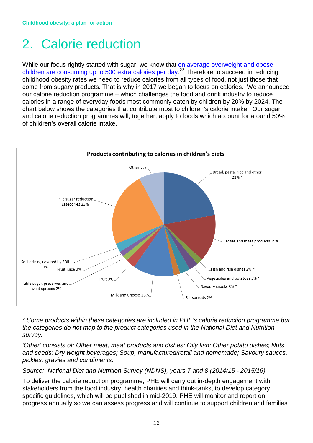## <span id="page-15-0"></span>2. Calorie reduction

While our focus rightly started with sugar, we know that on average overweight and obese [children are consuming up to 500 extra calories per day.](https://www.gov.uk/government/publications/calorie-reduction-the-scope-and-ambition-for-action)<sup>[22](#page-30-21)</sup> Therefore to succeed in reducing childhood obesity rates we need to reduce calories from all types of food, not just those that come from sugary products. That is why in 2017 we began to focus on calories. We announced our calorie reduction programme – which challenges the food and drink industry to reduce calories in a range of everyday foods most commonly eaten by children by 20% by 2024. The chart below shows the categories that contribute most to children's calorie intake. Our sugar and calorie reduction programmes will, together, apply to foods which account for around 50% of children's overall calorie intake.



*\* Some products within these categories are included in PHE's calorie reduction programme but the categories do not map to the product categories used in the National Diet and Nutrition survey.* 

*'Other' consists of: Other meat, meat products and dishes; Oily fish; Other potato dishes; Nuts and seeds; Dry weight beverages; Soup, manufactured/retail and homemade; Savoury sauces, pickles, gravies and condiments.*

*Source: National Diet and Nutrition Survey (NDNS), years 7 and 8 (2014/15 - 2015/16)* 

To deliver the calorie reduction programme, PHE will carry out in-depth engagement with stakeholders from the food industry, health charities and think-tanks, to develop category specific guidelines, which will be published in mid-2019. PHE will monitor and report on progress annually so we can assess progress and will continue to support children and families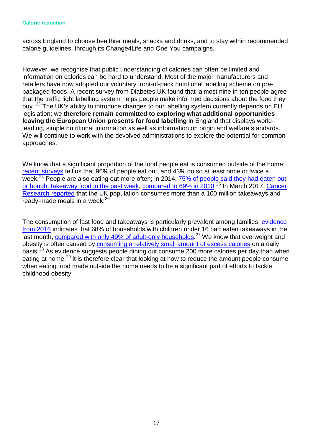#### **Calorie reduction**

across England to choose healthier meals, snacks and drinks, and to stay within recommended calorie guidelines, through its Change4Life and One You campaigns.

However, we recognise that public understanding of calories can often be limited and information on calories can be hard to understand. Most of the major manufacturers and retailers have now adopted our voluntary front-of-pack nutritional labelling scheme on prepackaged foods. A recent survey from Diabetes UK found that 'almost nine in ten people agree that the traffic light labelling system helps people make informed decisions about the food they buy.<sup>[23](#page-30-22)</sup> The UK's ability to introduce changes to our labelling system currently depends on EU legislation; we **therefore remain committed to exploring what additional opportunities leaving the European Union presents for food labelling** in England that displays worldleading, simple nutritional information as well as information on origin and welfare standards. We will continue to work with the devolved administrations to explore the potential for common approaches.

We know that a significant proportion of the food people eat is consumed outside of the home; [recent surveys](https://www.gov.uk/government/publications/calorie-reduction-the-scope-and-ambition-for-action) tell us that 96% of people eat out, and 43% do so at least once or twice a week.<sup>[24](#page-30-23)</sup> People are also eating out more often; in 2014, 75% of people said they had eaten out [or bought takeaway food in the past week,](https://www.food.gov.uk/sites/default/files/media/document/food-and-you-2014-uk-bulletin-3_0.pdf) [compared to 69% in 2010.](https://www.food.gov.uk/sites/default/files/media/document/food-and-you-2010-main-report.pdf)<sup>[25](#page-30-24)</sup> In March 2017, Cancer [Research reported](http://www.cancerresearchuk.org/sites/default/files/a_weighty_issue.pdf) that the UK population consumes more than a 100 million takeaways and ready-made meals in a week.<sup>[26](#page-30-25)</sup>

The consumption of fast food and takeaways is particularly prevalent among families; [evidence](https://www.food.gov.uk/sites/default/files/media/document/food-and-you-w4-combined-report_0.pdf)  [from 2016](https://www.food.gov.uk/sites/default/files/media/document/food-and-you-w4-combined-report_0.pdf) indicates that 68% of households with children under 16 had eaten takeaways in the last month, **compared with only 49% of adult-only households**.<sup>[27](#page-30-26)</sup> We know that overweight and obesity is often caused by [consuming a relatively small amount of excess calories](https://www.gov.uk/government/publications/calorie-reduction-the-scope-and-ambition-for-action) on a daily basis.<sup>[28](#page-30-27)</sup> As evidence suggests people dining out consume 200 more calories per day than when eating at home,<sup>[29](#page-31-0)</sup> it is therefore clear that looking at how to reduce the amount people consume when eating food made outside the home needs to be a significant part of efforts to tackle childhood obesity.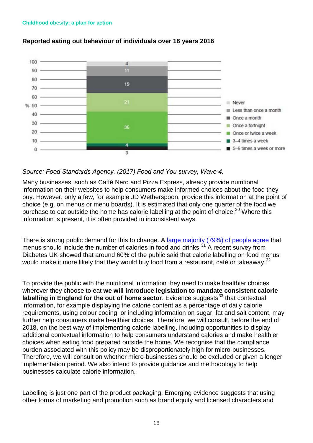

### **Reported eating out behaviour of individuals over 16 years 2016**

### *Source: Food Standards Agency. (2017) Food and You survey, Wave 4.*

Many businesses, such as Caffé Nero and Pizza Express, already provide nutritional information on their websites to help consumers make informed choices about the food they buy. However, only a few, for example JD Wetherspoon, provide this information at the point of choice (e.g. on menus or menu boards). It is estimated that only one quarter of the food we purchase to eat outside the home has calorie labelling at the point of choice.<sup>[30](#page-31-1)</sup> Where this information is present, it is often provided in inconsistent ways.

There is strong public demand for this to change. A [large majority \(79%\) of people agree](https://www.gov.uk/government/publications/calorie-reduction-the-scope-and-ambition-for-action) that menus should include the number of calories in food and drinks.<sup>[31](#page-31-2)</sup> A recent survey from Diabetes UK showed that around 60% of the public said that calorie labelling on food menus would make it more likely that they would buy food from a restaurant, café or takeaway.<sup>[32](#page-31-3)</sup>

To provide the public with the nutritional information they need to make healthier choices wherever they choose to eat **we will introduce legislation to mandate consistent calorie labelling in England for the out of home sector.** Evidence suggests<sup>[33](#page-31-4)</sup> that contextual information, for example displaying the calorie content as a percentage of daily calorie requirements, using colour coding, or including information on sugar, fat and salt content, may further help consumers make healthier choices. Therefore, we will consult, before the end of 2018, on the best way of implementing calorie labelling, including opportunities to display additional contextual information to help consumers understand calories and make healthier choices when eating food prepared outside the home. We recognise that the compliance burden associated with this policy may be disproportionately high for micro-businesses. Therefore, we will consult on whether micro-businesses should be excluded or given a longer implementation period. We also intend to provide guidance and methodology to help businesses calculate calorie information.

Labelling is just one part of the product packaging. Emerging evidence suggests that using other forms of marketing and promotion such as brand equity and licensed characters and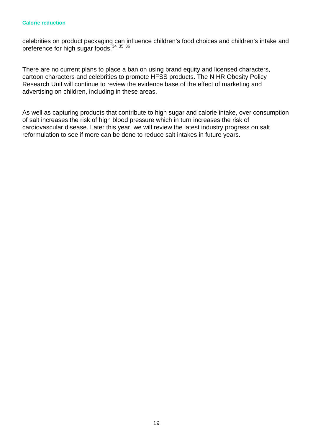#### **Calorie reduction**

celebrities on product packaging can influence children's food choices and children's intake and preference for high sugar foods.[34](#page-31-5) [35](#page-31-6) [36](#page-31-7)

There are no current plans to place a ban on using brand equity and licensed characters, cartoon characters and celebrities to promote HFSS products. The NIHR Obesity Policy Research Unit will continue to review the evidence base of the effect of marketing and advertising on children, including in these areas.

As well as capturing products that contribute to high sugar and calorie intake, over consumption of salt increases the risk of high blood pressure which in turn increases the risk of cardiovascular disease. Later this year, we will review the latest industry progress on salt reformulation to see if more can be done to reduce salt intakes in future years.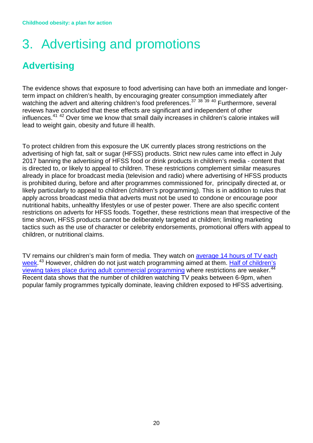## <span id="page-19-0"></span>3. Advertising and promotions

### <span id="page-19-1"></span>**Advertising**

The evidence shows that exposure to food advertising can have both an immediate and longerterm impact on children's health, by encouraging greater consumption immediately after watching the advert and altering children's food preferences.<sup>[37](#page-31-8)</sup> <sup>[38](#page-31-9)</sup> <sup>[39](#page-31-10)</sup> <sup>[40](#page-31-11)</sup> Furthermore, several reviews have concluded that these effects are significant and independent of other influences.<sup>[41](#page-31-12) [42](#page-31-13)</sup> Over time we know that small daily increases in children's calorie intakes will lead to weight gain, obesity and future ill health.

To protect children from this exposure the UK currently places strong restrictions on the advertising of high fat, salt or sugar (HFSS) products. Strict new rules came into effect in July 2017 banning the advertising of HFSS food or drink products in children's media - content that is directed to, or likely to appeal to children. These restrictions complement similar measures already in place for broadcast media (television and radio) where advertising of HFSS products is prohibited during, before and after programmes commissioned for, principally directed at, or likely particularly to appeal to children (children's programming). This is in addition to rules that apply across broadcast media that adverts must not be used to condone or encourage poor nutritional habits, unhealthy lifestyles or use of pester power. There are also specific content restrictions on adverts for HFSS foods. Together, these restrictions mean that irrespective of the time shown, HFSS products cannot be deliberately targeted at children; limiting marketing tactics such as the use of character or celebrity endorsements, promotional offers with appeal to children, or nutritional claims.

TV remains our children's main form of media. They watch on [average 14 hours of TV each](https://www.ofcom.org.uk/__data/assets/pdf_file/0020/108182/children-parents-media-use-attitudes-2017.pdf)  [week.](https://www.ofcom.org.uk/__data/assets/pdf_file/0020/108182/children-parents-media-use-attitudes-2017.pdf)<sup>[43](#page-31-14)</sup> However, children do not just watch programming aimed at them. Half of children's [viewing takes place during adult commercial programming](https://www.ofcom.org.uk/__data/assets/pdf_file/0020/108182/children-parents-media-use-attitudes-2017.pdf) where restrictions are weaker.<sup>[44](#page-31-15)</sup> Recent data shows that the number of children watching TV peaks between 6-9pm, when popular family programmes typically dominate, leaving children exposed to HFSS advertising.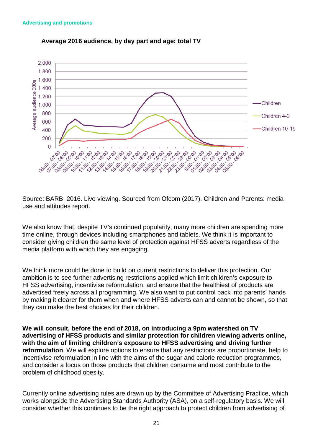

### **Average 2016 audience, by day part and age: total TV**

Source: BARB, 2016. Live viewing. Sourced from Ofcom (2017). Children and Parents: media use and attitudes report.

We also know that, despite TV's continued popularity, many more children are spending more time online, through devices including smartphones and tablets. We think it is important to consider giving children the same level of protection against HFSS adverts regardless of the media platform with which they are engaging.

We think more could be done to build on current restrictions to deliver this protection. Our ambition is to see further advertising restrictions applied which limit children's exposure to HFSS advertising, incentivise reformulation, and ensure that the healthiest of products are advertised freely across all programming. We also want to put control back into parents' hands by making it clearer for them when and where HFSS adverts can and cannot be shown, so that they can make the best choices for their children.

**We will consult, before the end of 2018, on introducing a 9pm watershed on TV advertising of HFSS products and similar protection for children viewing adverts online, with the aim of limiting children's exposure to HFSS advertising and driving further reformulation**. We will explore options to ensure that any restrictions are proportionate, help to incentivise reformulation in line with the aims of the sugar and calorie reduction programmes, and consider a focus on those products that children consume and most contribute to the problem of childhood obesity.

Currently online advertising rules are drawn up by the Committee of Advertising Practice, which works alongside the Advertising Standards Authority (ASA), on a self-regulatory basis. We will consider whether this continues to be the right approach to protect children from advertising of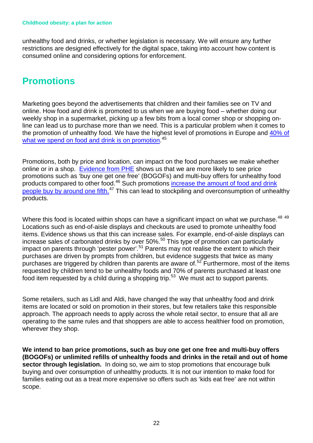unhealthy food and drinks, or whether legislation is necessary. We will ensure any further restrictions are designed effectively for the digital space, taking into account how content is consumed online and considering options for enforcement.

### <span id="page-21-0"></span>**Promotions**

Marketing goes beyond the advertisements that children and their families see on TV and online. How food and drink is promoted to us when we are buying food – whether doing our weekly shop in a supermarket, picking up a few bits from a local corner shop or shopping online can lead us to purchase more than we need. This is a particular problem when it comes to the promotion of unhealthy food. We have the highest level of promotions in Europe and [40% of](https://www.gov.uk/government/publications/sugar-reduction-from-evidence-into-action)  [what we spend on food and drink is on promotion.](https://www.gov.uk/government/publications/sugar-reduction-from-evidence-into-action)<sup>[45](#page-31-16)</sup>

Promotions, both by price and location, can impact on the food purchases we make whether online or in a shop. [Evidence from PHE](https://www.gov.uk/government/publications/sugar-reduction-from-evidence-into-action) shows us that we are more likely to see price promotions such as 'buy one get one free' (BOGOFs) and multi-buy offers for unhealthy food products compared to other food.[46](#page-31-17) Such promotions [increase the amount of food and drink](https://www.gov.uk/government/publications/sugar-reduction-from-evidence-into-action)  [people buy by around one fifth.](https://www.gov.uk/government/publications/sugar-reduction-from-evidence-into-action)<sup>[47](#page-31-18)</sup> This can lead to stockpiling and overconsumption of unhealthy products.

Where this food is located within shops can have a significant impact on what we purchase.<sup>[48](#page-31-19)</sup> <sup>[49](#page-31-20)</sup> Locations such as end-of-aisle displays and checkouts are used to promote unhealthy food items. Evidence shows us that this can increase sales. For example, end-of-aisle displays can increase sales of carbonated drinks by over 50%.[50](#page-31-21) This type of promotion can particularly impact on parents through 'pester power'.<sup>[51](#page-31-22)</sup> Parents may not realise the extent to which their purchases are driven by prompts from children, but evidence suggests that twice as many purchases are triggered by children than parents are aware of.[52](#page-31-23) Furthermore, most of the items requested by children tend to be unhealthy foods and 70% of parents purchased at least one food item requested by a child during a shopping trip.<sup>[53](#page-31-24)</sup> We must act to support parents.

Some retailers, such as Lidl and Aldi, have changed the way that unhealthy food and drink items are located or sold on promotion in their stores, but few retailers take this responsible approach. The approach needs to apply across the whole retail sector, to ensure that all are operating to the same rules and that shoppers are able to access healthier food on promotion, wherever they shop.

**We intend to ban price promotions, such as buy one get one free and multi-buy offers (BOGOFs) or unlimited refills of unhealthy foods and drinks in the retail and out of home sector through legislation.** In doing so, we aim to stop promotions that encourage bulk buying and over consumption of unhealthy products. It is not our intention to make food for families eating out as a treat more expensive so offers such as 'kids eat free' are not within scope.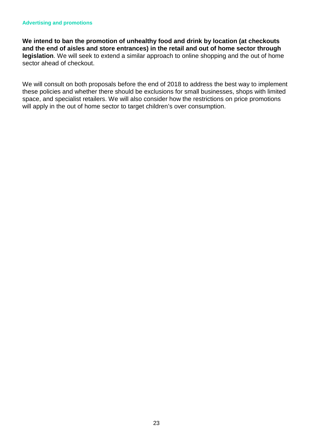**We intend to ban the promotion of unhealthy food and drink by location (at checkouts and the end of aisles and store entrances) in the retail and out of home sector through legislation**. We will seek to extend a similar approach to online shopping and the out of home sector ahead of checkout.

We will consult on both proposals before the end of 2018 to address the best way to implement these policies and whether there should be exclusions for small businesses, shops with limited space, and specialist retailers. We will also consider how the restrictions on price promotions will apply in the out of home sector to target children's over consumption.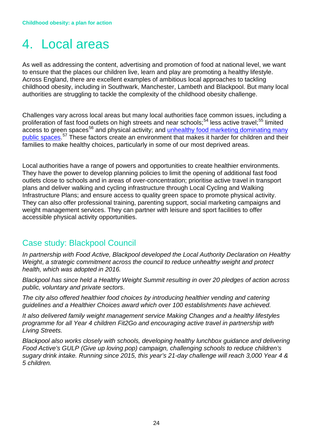## <span id="page-23-0"></span>4. Local areas

As well as addressing the content, advertising and promotion of food at national level, we want to ensure that the places our children live, learn and play are promoting a healthy lifestyle. Across England, there are excellent examples of ambitious local approaches to tackling childhood obesity, including in Southwark, Manchester, Lambeth and Blackpool. But many local authorities are struggling to tackle the complexity of the childhood obesity challenge.

Challenges vary across local areas but many local authorities face common issues, including a proliferation of fast food outlets on high streets and near schools;<sup>[54](#page-31-25)</sup> less active travel;<sup>[55](#page-31-26)</sup> limited  $\frac{1}{2}$  access to green spaces<sup>[56](#page-31-27)</sup> and physical activity; and unhealthy food marketing dominating many [public spaces.](https://www.local.gov.uk/about/news/lga-call-crackdown-trojan-telephone-boxes-amid-900-cent-rise-some-areas)<sup>[57](#page-32-0)</sup> These factors create an environment that makes it harder for children and their families to make healthy choices, particularly in some of our most deprived areas.

Local authorities have a range of powers and opportunities to create healthier environments. They have the power to develop planning policies to limit the opening of additional fast food outlets close to schools and in areas of over-concentration; prioritise active travel in transport plans and deliver walking and cycling infrastructure through Local Cycling and Walking Infrastructure Plans; and ensure access to quality green space to promote physical activity. They can also offer professional training, parenting support, social marketing campaigns and weight management services. They can partner with leisure and sport facilities to offer accessible physical activity opportunities.

### Case study: Blackpool Council

*In partnership with Food Active, Blackpool developed the Local Authority Declaration on Healthy Weight*, *a strategic commitment across the council to reduce unhealthy weight and protect health, which was adopted in 2016.*

*Blackpool has since held a Healthy Weight Summit resulting in over 20 pledges of action across public, voluntary and private sectors*.

*The city also offered healthier food choices by introducing healthier vending and catering guidelines and a Healthier Choices award which over 100 establishments have achieved.*

*It also delivered family weight management service Making Changes and a healthy lifestyles programme for all Year 4 children Fit2Go and encouraging active travel in partnership with Living Streets.*

*Blackpool also works closely with schools, developing healthy lunchbox guidance and delivering Food Active's GULP (Give up loving pop) campaign, challenging schools to reduce children's sugary drink intake. Running since 2015, this year's 21-day challenge will reach 3,000 Year 4 & 5 children.*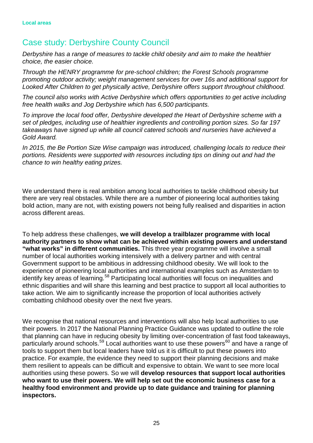### Case study: Derbyshire County Council

*Derbyshire has a range of measures to tackle child obesity and aim to make the healthier choice, the easier choice.*

*Through the HENRY programme for pre-school children; the Forest Schools programme promoting outdoor activity; weight management services for over 16s and additional support for Looked After Children to get physically active, Derbyshire offers support throughout childhood.*

*The council also works with Active Derbyshire which offers opportunities to get active including free health walks and Jog Derbyshire which has 6,500 participants.*

*To improve the local food offer, Derbyshire developed the Heart of Derbyshire scheme with a set of pledges, including use of healthier ingredients and controlling portion sizes. So far 197 takeaways have signed up while all council catered schools and nurseries have achieved a Gold Award.*

*In 2015, the Be Portion Size Wise campaign was introduced, challenging locals to reduce their portions. Residents were supported with resources including tips on dining out and had the chance to win healthy eating prizes.*

We understand there is real ambition among local authorities to tackle childhood obesity but there are very real obstacles. While there are a number of pioneering local authorities taking bold action, many are not, with existing powers not being fully realised and disparities in action across different areas.

To help address these challenges, **we will develop a trailblazer programme with local authority partners to show what can be achieved within existing powers and understand "what works" in different communities.** This three year programme will involve a small number of local authorities working intensively with a delivery partner and with central Government support to be ambitious in addressing childhood obesity. We will look to the experience of pioneering local authorities and international examples such as Amsterdam to identify key areas of learning.<sup>[58](#page-32-1)</sup> Participating local authorities will focus on inequalities and ethnic disparities and will share this learning and best practice to support all local authorities to take action. We aim to significantly increase the proportion of local authorities actively combatting childhood obesity over the next five years.

We recognise that national resources and interventions will also help local authorities to use their powers. In 2017 the National Planning Practice Guidance was updated to outline the role that planning can have in reducing obesity by limiting over-concentration of fast food takeaways, particularly around schools.<sup>[59](#page-32-2)</sup> Local authorities want to use these powers<sup>[60](#page-32-3)</sup> and have a range of tools to support them but local leaders have told us it is difficult to put these powers into practice. For example, the evidence they need to support their planning decisions and make them resilient to appeals can be difficult and expensive to obtain. We want to see more local authorities using these powers. So we will **develop resources that support local authorities who want to use their powers. We will help set out the economic business case for a healthy food environment and provide up to date guidance and training for planning inspectors.**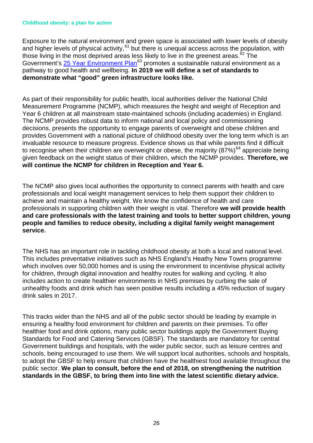#### **Childhood obesity: a plan for action**

Exposure to the natural environment and green space is associated with lower levels of obesity and higher levels of physical activity,  $61$  but there is unequal access across the population, with those living in the most deprived areas less likely to live in the greenest areas. $62$  The Government's [25 Year Environment Plan](https://www.gov.uk/government/publications/25-year-environment-plan)<sup>[63](#page-32-6)</sup> promotes a sustainable natural environment as a pathway to good health and wellbeing. **In 2019 we will define a set of standards to demonstrate what "good" green infrastructure looks like.**

As part of their responsibility for public health, local authorities deliver the National Child Measurement Programme (NCMP), which measures the height and weight of Reception and Year 6 children at all mainstream state-maintained schools (including academies) in England. The NCMP provides robust data to inform national and local policy and commissioning decisions, presents the opportunity to engage parents of overweight and obese children and provides Government with a national picture of childhood obesity over the long term which is an invaluable resource to measure progress. Evidence shows us that while parents find it difficult to recognise when their children are overweight or obese, the majority  $(87%)^{64}$  $(87%)^{64}$  $(87%)^{64}$  appreciate being given feedback on the weight status of their children, which the NCMP provides. **Therefore, we will continue the NCMP for children in Reception and Year 6.** 

The NCMP also gives local authorities the opportunity to connect parents with health and care professionals and local weight management services to help them support their children to achieve and maintain a healthy weight. We know the confidence of health and care professionals in supporting children with their weight is vital. Therefore **we will provide health and care professionals with the latest training and tools to better support children, young people and families to reduce obesity, including a digital family weight management service.**

The NHS has an important role in tackling childhood obesity at both a local and national level. This includes preventative initiatives such as NHS England's Heathy New Towns programme which involves over 50,000 homes and is using the environment to incentivise physical activity for children, through digital innovation and healthy routes for walking and cycling. It also includes action to create healthier environments in NHS premises by curbing the sale of unhealthy foods and drink which has seen positive results including a 45% reduction of sugary drink sales in 2017.

This tracks wider than the NHS and all of the public sector should be leading by example in ensuring a healthy food environment for children and parents on their premises. To offer healthier food and drink options, many public sector buildings apply the Government Buying Standards for Food and Catering Services (GBSF). The standards are mandatory for central Government buildings and hospitals, with the wider public sector, such as leisure centres and schools, being encouraged to use them. We will support local authorities, schools and hospitals, to adopt the GBSF to help ensure that children have the healthiest food available throughout the public sector. **We plan to consult, before the end of 2018, on strengthening the nutrition standards in the GBSF, to bring them into line with the latest scientific dietary advice.**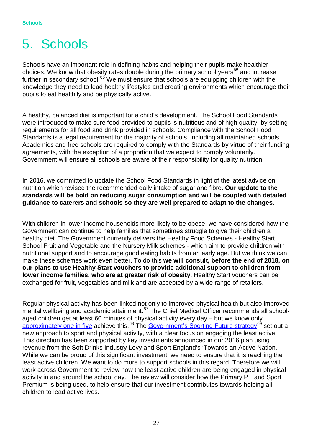## <span id="page-26-0"></span>5. Schools

Schools have an important role in defining habits and helping their pupils make healthier choices. We know that obesity rates double during the primary school years<sup>[65](#page-32-8)</sup> and increase further in secondary school. $^{66}$  $^{66}$  $^{66}$  We must ensure that schools are equipping children with the knowledge they need to lead healthy lifestyles and creating environments which encourage their pupils to eat healthily and be physically active.

A healthy, balanced diet is important for a child's development. The School Food Standards were introduced to make sure food provided to pupils is nutritious and of high quality, by setting requirements for all food and drink provided in schools. Compliance with the School Food Standards is a legal requirement for the majority of schools, including all maintained schools. Academies and free schools are required to comply with the Standards by virtue of their funding agreements, with the exception of a proportion that we expect to comply voluntarily. Government will ensure all schools are aware of their responsibility for quality nutrition.

In 2016, we committed to update the School Food Standards in light of the latest advice on nutrition which revised the recommended daily intake of sugar and fibre. **Our update to the standards will be bold on reducing sugar consumption and will be coupled with detailed guidance to caterers and schools so they are well prepared to adapt to the changes**.

With children in lower income households more likely to be obese, we have considered how the Government can continue to help families that sometimes struggle to give their children a healthy diet. The Government currently delivers the Healthy Food Schemes - Healthy Start, School Fruit and Vegetable and the Nursery Milk schemes - which aim to provide children with nutritional support and to encourage good eating habits from an early age. But we think we can make these schemes work even better. To do this **we will consult, before the end of 2018, on our plans to use Healthy Start vouchers to provide additional support to children from lower income families, who are at greater risk of obesity.** Healthy Start vouchers can be exchanged for fruit, vegetables and milk and are accepted by a wide range of retailers.

Regular physical activity has been linked not only to improved physical health but also improved mental wellbeing and academic attainment.<sup>[67](#page-32-10)</sup> The Chief Medical Officer recommends all schoolaged children get at least 60 minutes of physical activity every day – but we know only [approximately one in five](https://digital.nhs.uk/data-and-information/publications/statistical/health-survey-for-england/health-survey-for-england-2016) achieve this.<sup>[68](#page-32-11)</sup> The [Government's Sporting Future strategy](https://assets.publishing.service.gov.uk/government/uploads/system/uploads/attachment_data/file/486622/Sporting_Future_ACCESSIBLE.pdf)<sup>[69](#page-32-12)</sup> set out a new approach to sport and physical activity, with a clear focus on engaging the least active. This direction has been supported by key investments announced in our 2016 plan using revenue from the Soft Drinks Industry Levy and Sport England's 'Towards an Active Nation.' While we can be proud of this significant investment, we need to ensure that it is reaching the least active children. We want to do more to support schools in this regard. Therefore we will work across Government to review how the least active children are being engaged in physical activity in and around the school day. The review will consider how the Primary PE and Sport Premium is being used, to help ensure that our investment contributes towards helping all children to lead active lives.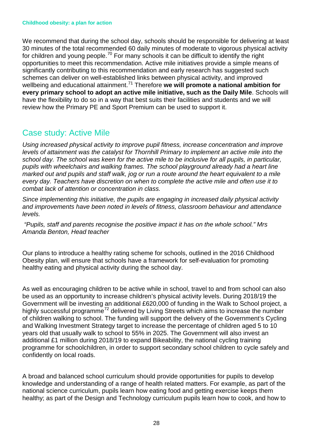#### **Childhood obesity: a plan for action**

We recommend that during the school day, schools should be responsible for delivering at least 30 minutes of the total recommended 60 daily minutes of moderate to vigorous physical activity for children and young people.<sup>[70](#page-32-13)</sup> For many schools it can be difficult to identify the right opportunities to meet this recommendation. Active mile initiatives provide a simple means of significantly contributing to this recommendation and early research has suggested such schemes can deliver on well-established links between physical activity, and improved wellbeing and educational attainment.<sup>[71](#page-32-14)</sup> Therefore we will promote a national ambition for **every primary school to adopt an active mile initiative, such as the Daily Mile**. Schools will have the flexibility to do so in a way that best suits their facilities and students and we will review how the Primary PE and Sport Premium can be used to support it.

### Case study: Active Mile

*Using increased physical activity to improve pupil fitness, increase concentration and improve levels of attainment was the catalyst for Thornhill Primary to implement an active mile into the school day. The school was keen for the active mile to be inclusive for all pupils, in particular, pupils with wheelchairs and walking frames. The school playground already had a heart line marked out and pupils and staff walk, jog or run a route around the heart equivalent to a mile every day. Teachers have discretion on when to complete the active mile and often use it to combat lack of attention or concentration in class.* 

*Since implementing this initiative, the pupils are engaging in increased daily physical activity and improvements have been noted in levels of fitness, classroom behaviour and attendance levels.*

*"Pupils, staff and parents recognise the positive impact it has on the whole school." Mrs Amanda Benton, Head teacher*

Our plans to introduce a healthy rating scheme for schools, outlined in the 2016 Childhood Obesity plan, will ensure that schools have a framework for self-evaluation for promoting healthy eating and physical activity during the school day.

As well as encouraging children to be active while in school, travel to and from school can also be used as an opportunity to increase children's physical activity levels. During 2018/19 the Government will be investing an additional £620,000 of funding in the Walk to School project, a highly successful programme[72](#page-32-15) delivered by Living Streets which aims to increase the number of children walking to school. The funding will support the delivery of the Government's Cycling and Walking Investment Strategy target to increase the percentage of children aged 5 to 10 years old that usually walk to school to 55% in 2025. The Government will also invest an additional £1 million during 2018/19 to expand Bikeability, the national cycling training programme for schoolchildren, in order to support secondary school children to cycle safely and confidently on local roads.

A broad and balanced school curriculum should provide opportunities for pupils to develop knowledge and understanding of a range of health related matters. For example, as part of the national science curriculum, pupils learn how eating food and getting exercise keeps them healthy; as part of the Design and Technology curriculum pupils learn how to cook, and how to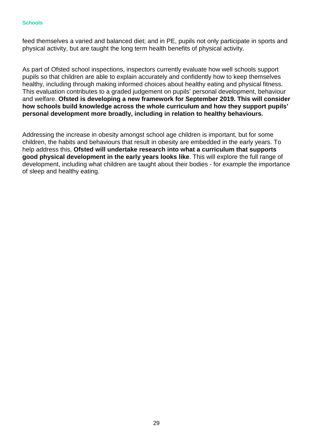#### **Schools**

feed themselves a varied and balanced diet; and in PE, pupils not only participate in sports and physical activity, but are taught the long term health benefits of physical activity.

As part of Ofsted school inspections, inspectors currently evaluate how well schools support pupils so that children are able to explain accurately and confidently how to keep themselves healthy, including through making informed choices about healthy eating and physical fitness. This evaluation contributes to a graded judgement on pupils' personal development, behaviour and welfare. **Ofsted is developing a new framework for September 2019. This will consider how schools build knowledge across the whole curriculum and how they support pupils' personal development more broadly, including in relation to healthy behaviours.**

Addressing the increase in obesity amongst school age children is important, but for some children, the habits and behaviours that result in obesity are embedded in the early years. To help address this, **Ofsted will undertake research into what a curriculum that supports good physical development in the early years looks like**. This will explore the full range of development, including what children are taught about their bodies - for example the importance of sleep and healthy eating.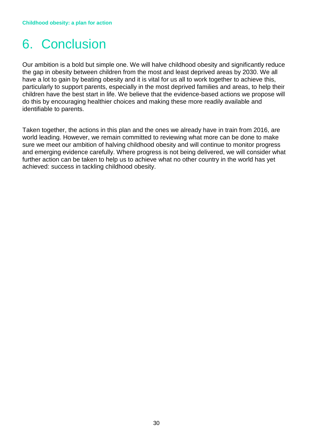## <span id="page-29-0"></span>6. Conclusion

Our ambition is a bold but simple one. We will halve childhood obesity and significantly reduce the gap in obesity between children from the most and least deprived areas by 2030. We all have a lot to gain by beating obesity and it is vital for us all to work together to achieve this, particularly to support parents, especially in the most deprived families and areas, to help their children have the best start in life. We believe that the evidence-based actions we propose will do this by encouraging healthier choices and making these more readily available and identifiable to parents.

Taken together, the actions in this plan and the ones we already have in train from 2016, are world leading. However, we remain committed to reviewing what more can be done to make sure we meet our ambition of halving childhood obesity and will continue to monitor progress and emerging evidence carefully. Where progress is not being delivered, we will consider what further action can be taken to help us to achieve what no other country in the world has yet achieved: success in tackling childhood obesity.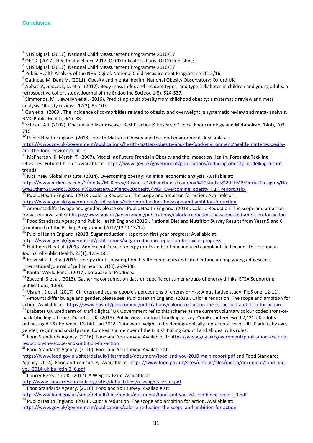#### **Conclusion**

 $\overline{a}$ 

- <span id="page-30-0"></span> $1$  NHS Digital. (2017). National Child Measurement Programme 2016/17
- <span id="page-30-1"></span><sup>2</sup> OECD. (2017). Health at a glance 2017: OECD Indicators. Paris: OECD Publishing.

<span id="page-30-7"></span>analysis. Obesity reviews, 17(2), 95-107.<br><sup>8</sup> Guh et al. (2009). The incidence of co-morbities related to obesity and overweight: a systematic review and meta- analysis. BMC Public Health, 9(1), 88.<br><sup>9</sup> Scheen, A J. (2002). Obesity and liver disease. Best Practice & Research Clinical Endocrinology and Metabolism, 14(4), 703-

<span id="page-30-8"></span>716.

<span id="page-30-9"></span> $10$  Public Health England. (2018). Health Matters: Obesity and the food environment. Available at:

[https://www.gov.uk/government/publications/health-matters-obesity-and-the-food-environment/health-matters-obesity-](https://www.gov.uk/government/publications/health-matters-obesity-and-the-food-environment/health-matters-obesity-and-the-food-environment--2)

<span id="page-30-10"></span>[and-the-food-environment--2](https://www.gov.uk/government/publications/health-matters-obesity-and-the-food-environment/health-matters-obesity-and-the-food-environment--2)<br><sup>11</sup> McPherson, K, Marsh, T. (2007). Modelling Future Trends in Obesity and the Impact on Health. Foresight Tackling Obesities: Future Choices. Available at[: https://www.gov.uk/government/publications/reducing-obesity-modelling-future](https://www.gov.uk/government/publications/reducing-obesity-modelling-future-trends)[trends](https://www.gov.uk/government/publications/reducing-obesity-modelling-future-trends)

<sup>12</sup> McKinsey Global Institute. (2014). Overcoming obesity: An initial economic analysis. Available at:

<span id="page-30-11"></span>[https://www.mckinsey.com/~/media/McKinsey/Business%20Functions/Economic%20Studies%20TEMP/Our%20Insights/Ho](https://www.mckinsey.com/~/media/McKinsey/Business%20Functions/Economic%20Studies%20TEMP/Our%20Insights/How%20the%20world%20could%20better%20fight%20obesity/MGI_Overcoming_obesity_Full_report.ashx) [w%20the%20world%20could%20better%20fight%20obesity/MGI\\_Overcoming\\_obesity\\_Full\\_report.ashx](https://www.mckinsey.com/~/media/McKinsey/Business%20Functions/Economic%20Studies%20TEMP/Our%20Insights/How%20the%20world%20could%20better%20fight%20obesity/MGI_Overcoming_obesity_Full_report.ashx)

<span id="page-30-12"></span><sup>13</sup> Public Health England. (2018). Calorie Reduction: The scope and ambition for action: Available at:<br>https://www.gov.uk/government/publications/calorie-reduction-the-scope-and-ambition-for-action

<span id="page-30-13"></span><sup>14</sup> Amounts differ by age and gender, please see: Public Health England. (2018). Calorie Reduction: The scope and ambition

<span id="page-30-14"></span>for action: Available a[t https://www.gov.uk/government/publications/calorie-reduction-the-scope-and-ambition-for-action](https://www.gov.uk/government/publications/calorie-reduction-the-scope-and-ambition-for-action)<br><sup>15</sup> Food Standards Agency and Public Health England (2016). National Diet and Nutrition Survey Result (combined) of the Rolling Programme (2012/13-2013/14).<br><sup>16</sup> Public Health England. (2018) Sugar reduction : report on first year progress: Available at<br>https://www.gov.uk/government/publications/sugar-reduction-report-on-

<span id="page-30-15"></span>

<span id="page-30-16"></span><sup>17</sup> Huhtinen H eat al. (2013) Adolescents' use of energy drinks and caffeine induced complaints in Finland. The European

<span id="page-30-17"></span>Journal of Public Health, 23(1), 123-150.<br><sup>18</sup> Koivusilta, L et al (2016). Energy drink consumption, health complaints and late bedtime among young adolescents.<br>International journal of public health, 61(3), 299-306.

<span id="page-30-19"></span><span id="page-30-18"></span><sup>19</sup> Kantar World Panel. (2017). Database of Products.<br><sup>20</sup> Zucconi, S et al. (2013). Gathering consumption data on specific consumer groups of energy drinks. EFSA Supporting publications, 10(3).<br><sup>21</sup> Visram, S et al. (2017). Children and voung people's perceptions of energy drinks: A qualitative study: PloS one, 12(11).

<span id="page-30-20"></span><sup>22</sup> Amounts differ by age and gender, please see: Public Health England. (2018). Calorie reduction: The scope and ambition for

<span id="page-30-22"></span><span id="page-30-21"></span>action. Available at: <https://www.gov.uk/government/publications/calorie-reduction-the-scope-and-ambition-for-action><br><sup>23</sup> Diabetes UK used term of 'traffic lights.' UK Government ref to this scheme as the current voluntary pack labelling scheme. Diabetes UK. (2018). Public views on food labelling survey. ComRes interviewed 2,121 UK adults online, aged 18+ between 12-14th Jan 2018. Data were weight to be demographically representative of all UK adults by age, gender, region and social grade. ComRes is a member of the British Polling Council and abides by its rules.

<span id="page-30-23"></span><sup>24</sup> Food Standards Agency. (2016). Food and You survey. Available at: [https://www.gov.uk/government/publications/calorie](https://www.gov.uk/government/publications/calorie-reduction-the-scope-and-ambition-for-action)[reduction-the-scope-and-ambition-for-action](https://www.gov.uk/government/publications/calorie-reduction-the-scope-and-ambition-for-action)<br><sup>25</sup> Food Standards Agency. (2010). Food and You survey. Available at:

<span id="page-30-24"></span><https://www.food.gov.uk/sites/default/files/media/document/food-and-you-2010-main-report.pdf> and Food Standards Agency. 2014). Food and You survey. Available at: https://www.food.gov.uk/sites/default/files/media/document/food-and-<br>you-2014-uk-bulletin-3 0.pdf<br><sup>26</sup> Cancer Bessersh W. (2017). We will be also that the survey of the sur

<span id="page-30-25"></span>Cancer Research UK. (2017). A Weighty Issue. Available at:

[http://www.cancerresearchuk.org/sites/default/files/a\\_weighty\\_issue.pdf](http://www.cancerresearchuk.org/sites/default/files/a_weighty_issue.pdf)<br>27 Feed Steedault Aprenu (2016). Feed and Veuenum Ausilable stu

Food Standards Agency. (2016). Food and You survey. Available at:

<span id="page-30-26"></span>[https://www.food.gov.uk/sites/default/files/media/document/food-and-you-w4-combined-report\\_0.pdf](https://www.food.gov.uk/sites/default/files/media/document/food-and-you-w4-combined-report_0.pdf) <sup>28</sup> Public Health England. (2018). Calorie reduction: The scope and ambition for action. Available at:

<span id="page-30-27"></span><https://www.gov.uk/government/publications/calorie-reduction-the-scope-and-ambition-for-action>

<span id="page-30-2"></span> $3$  NHS Digital. (2017). National Child Measurement Programme 2016/17

<span id="page-30-3"></span><sup>&</sup>lt;sup>4</sup> Public Health Analysis of the NHS Digital. National Child Measurement Programme 2015/16

<span id="page-30-4"></span><sup>&</sup>lt;sup>5</sup> Gatineau M, Dent M. (2011). Obesity and mental health. National Obesity Observatory: Oxford UK.

<span id="page-30-5"></span> $6$  Abbasi A, Juszczyk, D, et al. (2017). Body mass index and incident type 1 and type 2 diabetes in children and young adults: a

<span id="page-30-6"></span>retrospective cohort study. Journal of the Endocrine Society, 1(5), 524-537.<br><sup>7</sup> Simmonds, M, Llewellyn et al. (2016). Predicting adult obesity from childhood obesity: a systematic review and meta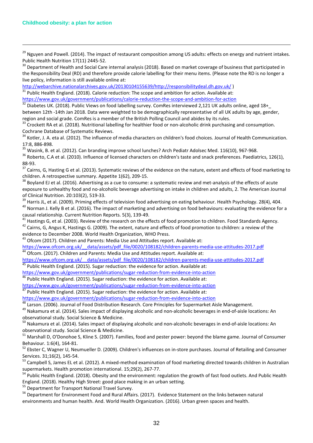$\overline{a}$ 

<span id="page-31-0"></span><sup>29</sup> Nguyen and Powell. (2014). The impact of restaurant composition among US adults: effects on energy and nutrient intakes. Public Health Nutrition 17(11) 2445-52.<br><sup>30</sup> Department of Health and Social Care internal analysis (2018). Based on market coverage of business that participated in

<span id="page-31-1"></span>the Responsibility Deal (RD) and therefore provide calorie labelling for their menu items. (Please note the RD is no longer a live policy, information is still available online at:

[http://webarchive.nationalarchives.gov.uk/20130104155639/http://responsibilitydeal.dh.gov.uk/](http://webarchive.nationalarchives.gov.uk/20130104155639/http:/responsibilitydeal.dh.gov.uk/) )<br><sup>31</sup> Public Health England. (2018). Calorie reduction: The scope and ambition for action. Available at:

<span id="page-31-2"></span><https://www.gov.uk/government/publications/calorie-reduction-the-scope-and-ambition-for-action> 32<br>32 Diabetes UK. (2018). Public Views on food labelling survey. ComRes interviewed 2,121 UK adults online, aged 18+

<span id="page-31-3"></span>between 12th -14th Jan 2018. Data were weighted to be demographically representative of all UK adults by age, gender,

<span id="page-31-4"></span>region and social grade. ComRes is a member of the British Polling Council and abides by its rules.<br><sup>33</sup> Crockett RA et al. (2018). Nutritional labelling for healthier food or non-alcoholic drink purchasing and consumption Cochrane Database of Systematic Reviews.

<span id="page-31-5"></span><sup>34</sup> Kotler, J. A. eta al. (2012). The influence of media characters on children's food choices. Journal of Health Communication. 17:8, 886-898.<br><sup>35</sup> Wasink, B. et al. (2012). Can branding improve school lunches? Arch Pediatr Adolsec Med. 116(10), 967-968.<br><sup>36</sup> Roberto, C.A et al. (2010). Influence of licensed characters on children's taste and snack

<span id="page-31-6"></span>

<span id="page-31-7"></span>

<span id="page-31-8"></span>88-93.<br><sup>37</sup> Cairns, G, Hasting G et al. (2013). Systematic reviews of the evidence on the nature, extent and effects of food marketing to children. A retrospective summary. Appetite 1(62), 209-15.<br><sup>38</sup> Boyland EJ et al. (2016). Advertising as a cue to consume: a systematic review and met-analysis of the effects of acute

<span id="page-31-9"></span>exposure to unhealthy food and no-alcoholic beverage advertising on intake in children and adults, 2. The American Journal

<span id="page-31-10"></span>of Clinical Nutrition. 20:103(2), 519-33.<br><sup>39</sup> Harris JL, et al. (2009). Priming effects of television food advertising on eating behaviour. Health Psychology. 28(4), 404.<br><sup>40</sup> Norman J. Kelly B et al. (2016). The impact o

<span id="page-31-12"></span><span id="page-31-11"></span>causal relationship. Current Nutrition Reports. 5(3), 139-49.<br><sup>41</sup> Hastings G, et al. (2003). Review of the research on the effects of food promotion to children. Food Standards Agency.<br><sup>42</sup> Cairns. G, Angus K, Hastings G. evidence to December 2008. World Health Organization, WHO Press.

<span id="page-31-14"></span><span id="page-31-13"></span><sup>43</sup> Ofcom (2017). Children and Parents: Media Use and Attitudes report. Available at:

[https://www.ofcom.org.uk/\\_\\_data/assets/pdf\\_file/0020/108182/children-parents-media-use-attitudes-2017.pdf](https://www.ofcom.org.uk/__data/assets/pdf_file/0020/108182/children-parents-media-use-attitudes-2017.pdf) <sup>44</sup> Ofcom. (2017). Children and Parents: Media Use and Attitudes report. Available at:

<span id="page-31-15"></span>https://www.ofcom.org.uk/ data/assets/pdf file/0020/108182/children-parents-media-use-attitudes-2017.pdf <sup>45</sup> Public Health England. (2015). Sugar reduction: the evidence for action. Available at:

<span id="page-31-17"></span>

<span id="page-31-16"></span><https://www.gov.uk/government/publications/sugar-reduction-from-evidence-into-action> 46 Public Health England. (2015). Sugar reduction: the evidence for action. Available at:<br>https://www.gov.uk/government/publications/suga

<span id="page-31-18"></span> $\frac{47}{47}$  Public Health England. (2015). Sugar reduction: the evidence for action. Available at:<br><https://www.gov.uk/government/publications/sugar-reduction-from-evidence-into-action>

<span id="page-31-20"></span><span id="page-31-19"></span><sup>48</sup> Larson. (2006). Journal of Food Distribution Research. Core Principles for Supermarket Aisle Management.<br><sup>49</sup> Nakamura et al. (2014). Sales impact of displaying alcoholic and non-alcoholic beverages in end-of-aisle l observational study. Social Science & Medicine.

<span id="page-31-21"></span><sup>50</sup> Nakamura et al. (2014). Sales impact of displaying alcoholic and non-alcoholic beverages in end-of-aisle locations: An observational study. Social Science & Medicine.

<span id="page-31-22"></span><sup>51</sup> Marshall D, O'Donohoe S, Kline S. (2007). Families, food and pester power: beyond the blame game. Journal of Consumer

<span id="page-31-23"></span>Behaviour. 1:6(4), 164-81.<br><sup>52</sup> Ebster C, Wagner U, Neumueller D. (2009). Children's influences on in-store purchases. Journal of Retailing and Consumer Services. 31;16(2), 145-54.<br><sup>53</sup> Campbell S, James EL et al. (2012). A mixed-method examination of food marketing directed towards children in Australian

<span id="page-31-24"></span>supermarkets. Health promotion international. 15;29(2), 267-77.<br><sup>54</sup> Public Health England. (2018). Obesity and the environment: regulation the growth of fast food outlets. And Public Health

<span id="page-31-25"></span>England. (2018). Healthy High Street: good place making in an urban setting.<br><sup>55</sup> Department for Transport National Travel Survey.<br><sup>56</sup> Department for Environment Food and Rural Affairs. (2017). Evidence Statement on the l

<span id="page-31-26"></span>

<span id="page-31-27"></span>environments and human health. And. World Health Organization. (2016). Urban green spaces and health.